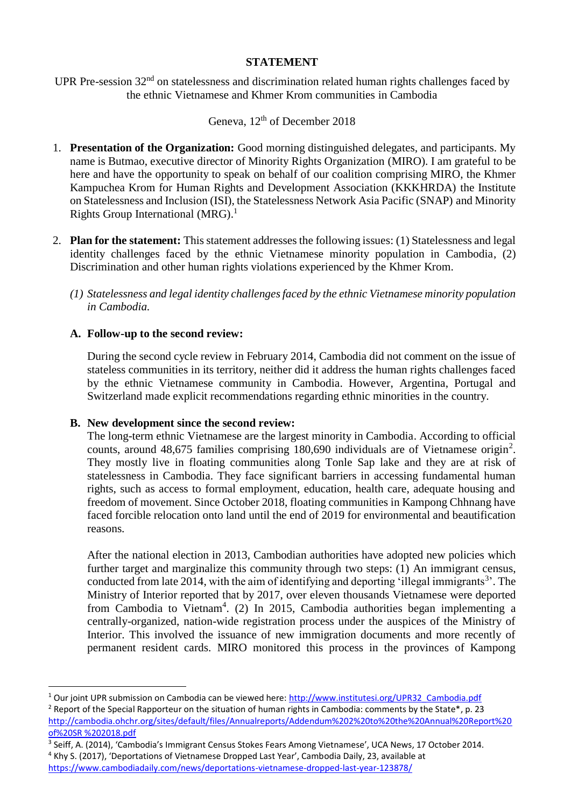### **STATEMENT**

UPR Pre-session 32<sup>nd</sup> on statelessness and discrimination related human rights challenges faced by the ethnic Vietnamese and Khmer Krom communities in Cambodia

# Geneva,  $12<sup>th</sup>$  of December 2018

- 1. **Presentation of the Organization:** Good morning distinguished delegates, and participants. My name is Butmao, executive director of Minority Rights Organization (MIRO). I am grateful to be here and have the opportunity to speak on behalf of our coalition comprising MIRO, the Khmer Kampuchea Krom for Human Rights and Development Association (KKKHRDA) the Institute on Statelessness and Inclusion (ISI), the Statelessness Network Asia Pacific (SNAP) and Minority Rights Group International  $(MRG)$ .<sup>1</sup>
- 2. **Plan for the statement:** This statement addresses the following issues: (1) Statelessness and legal identity challenges faced by the ethnic Vietnamese minority population in Cambodia, (2) Discrimination and other human rights violations experienced by the Khmer Krom.
	- *(1) Statelessness and legal identity challenges faced by the ethnic Vietnamese minority population in Cambodia.*

## **A. Follow-up to the second review:**

 $\overline{a}$ 

During the second cycle review in February 2014, Cambodia did not comment on the issue of stateless communities in its territory, neither did it address the human rights challenges faced by the ethnic Vietnamese community in Cambodia. However, Argentina, Portugal and Switzerland made explicit recommendations regarding ethnic minorities in the country.

#### **B. New development since the second review:**

The long-term ethnic Vietnamese are the largest minority in Cambodia. According to official counts, around  $48,675$  families comprising 180,690 individuals are of Vietnamese origin<sup>2</sup>. They mostly live in floating communities along Tonle Sap lake and they are at risk of statelessness in Cambodia. They face significant barriers in accessing fundamental human rights, such as access to formal employment, education, health care, adequate housing and freedom of movement. Since October 2018, floating communities in Kampong Chhnang have faced forcible relocation onto land until the end of 2019 for environmental and beautification reasons.

After the national election in 2013, Cambodian authorities have adopted new policies which further target and marginalize this community through two steps: (1) An immigrant census, conducted from late 2014, with the aim of identifying and deporting 'illegal immigrants<sup>3</sup>'. The Ministry of Interior reported that by 2017, over eleven thousands Vietnamese were deported from Cambodia to Vietnam<sup>4</sup>. (2) In 2015, Cambodia authorities began implementing a centrally-organized, nation-wide registration process under the auspices of the Ministry of Interior. This involved the issuance of new immigration documents and more recently of permanent resident cards. MIRO monitored this process in the provinces of Kampong

<sup>&</sup>lt;sup>1</sup> Our joint UPR submission on Cambodia can be viewed here: [http://www.institutesi.org/UPR32\\_Cambodia.pdf](http://www.institutesi.org/UPR32_Cambodia.pdf)

<sup>&</sup>lt;sup>2</sup> Report of the Special Rapporteur on the situation of human rights in Cambodia: comments by the State\*, p. 23 [http://cambodia.ohchr.org/sites/default/files/Annualreports/Addendum%202%20to%20the%20Annual%20Report%20](http://cambodia.ohchr.org/sites/default/files/Annualreports/Addendum%202%20to%20the%20Annual%20Report%20of%20SR%20%202018.pdf) [of%20SR %202018.pdf](http://cambodia.ohchr.org/sites/default/files/Annualreports/Addendum%202%20to%20the%20Annual%20Report%20of%20SR%20%202018.pdf)

<sup>&</sup>lt;sup>3</sup> Seiff, A. (2014), 'Cambodia's Immigrant Census Stokes Fears Among Vietnamese', UCA News, 17 October 2014.

<sup>4</sup> Khy S. (2017), 'Deportations of Vietnamese Dropped Last Year', Cambodia Daily, 23, available at <https://www.cambodiadaily.com/news/deportations-vietnamese-dropped-last-year-123878/>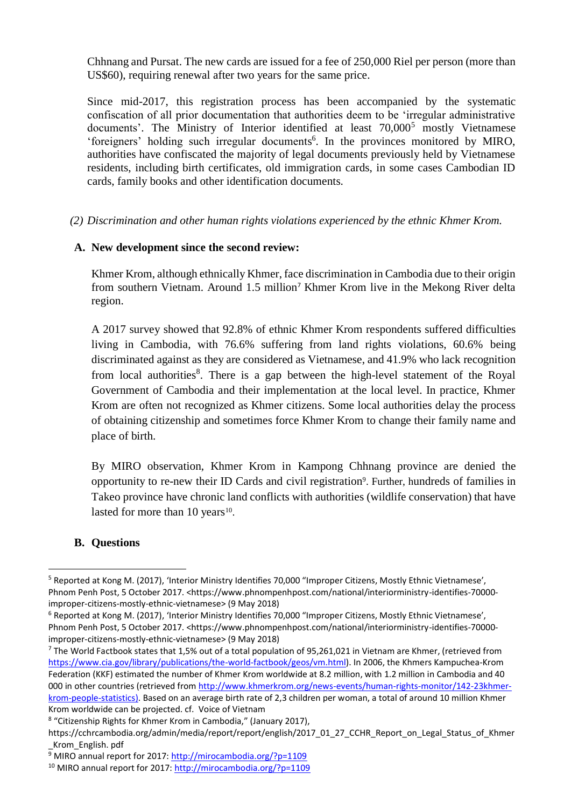Chhnang and Pursat. The new cards are issued for a fee of 250,000 Riel per person (more than US\$60), requiring renewal after two years for the same price.

Since mid-2017, this registration process has been accompanied by the systematic confiscation of all prior documentation that authorities deem to be 'irregular administrative documents'. The Ministry of Interior identified at least  $70,000^5$  mostly Vietnamese 'foreigners' holding such irregular documents 6 . In the provinces monitored by MIRO, authorities have confiscated the majority of legal documents previously held by Vietnamese residents, including birth certificates, old immigration cards, in some cases Cambodian ID cards, family books and other identification documents.

*(2) Discrimination and other human rights violations experienced by the ethnic Khmer Krom.*

### **A. New development since the second review:**

Khmer Krom, although ethnically Khmer, face discrimination in Cambodia due to their origin from southern Vietnam. Around 1.5 million<sup>7</sup> Khmer Krom live in the Mekong River delta region.

A 2017 survey showed that 92.8% of ethnic Khmer Krom respondents suffered difficulties living in Cambodia, with 76.6% suffering from land rights violations, 60.6% being discriminated against as they are considered as Vietnamese, and 41.9% who lack recognition from local authorities<sup>8</sup>. There is a gap between the high-level statement of the Royal Government of Cambodia and their implementation at the local level. In practice, Khmer Krom are often not recognized as Khmer citizens. Some local authorities delay the process of obtaining citizenship and sometimes force Khmer Krom to change their family name and place of birth.

By MIRO observation, Khmer Krom in Kampong Chhnang province are denied the opportunity to re-new their ID Cards and civil registration<sup>9</sup>. Further, hundreds of families in Takeo province have chronic land conflicts with authorities (wildlife conservation) that have lasted for more than  $10 \text{ years}^{10}$ .

## **B. Questions**

 $\overline{a}$ 

<sup>5</sup> Reported at Kong M. (2017), 'Interior Ministry Identifies 70,000 "Improper Citizens, Mostly Ethnic Vietnamese', Phnom Penh Post, 5 October 2017. <https://www.phnompenhpost.com/national/interiorministry-identifies-70000improper-citizens-mostly-ethnic-vietnamese> (9 May 2018)

<sup>6</sup> Reported at Kong M. (2017), 'Interior Ministry Identifies 70,000 "Improper Citizens, Mostly Ethnic Vietnamese', Phnom Penh Post, 5 October 2017. <https://www.phnompenhpost.com/national/interiorministry-identifies-70000improper-citizens-mostly-ethnic-vietnamese> (9 May 2018)

 $7$  The World Factbook states that 1,5% out of a total population of 95,261,021 in Vietnam are Khmer, (retrieved from [https://www.cia.gov/library/publications/the-world-factbook/geos/vm.html\)](https://www.cia.gov/library/publications/the-world-factbook/geos/vm.html). In 2006, the Khmers Kampuchea-Krom Federation (KKF) estimated the number of Khmer Krom worldwide at 8.2 million, with 1.2 million in Cambodia and 40 000 in other countries (retrieved from [http://www.khmerkrom.org/news-events/human-rights-monitor/142-23khmer](http://www.khmerkrom.org/news-events/human-rights-monitor/142-23khmer-krom-people-statistics)[krom-people-statistics\)](http://www.khmerkrom.org/news-events/human-rights-monitor/142-23khmer-krom-people-statistics). Based on an average birth rate of 2,3 children per woman, a total of around 10 million Khmer Krom worldwide can be projected. cf. Voice of Vietnam

<sup>&</sup>lt;sup>8</sup> "Citizenship Rights for Khmer Krom in Cambodia," (January 2017),

https://cchrcambodia.org/admin/media/report/report/english/2017\_01\_27\_CCHR\_Report\_on\_Legal\_Status\_of\_Khmer \_Krom\_English. pdf

<sup>9</sup> MIRO annual report for 2017[: http://mirocambodia.org/?p=1109](http://mirocambodia.org/?p=1109)

<sup>10</sup> MIRO annual report for 2017:<http://mirocambodia.org/?p=1109>